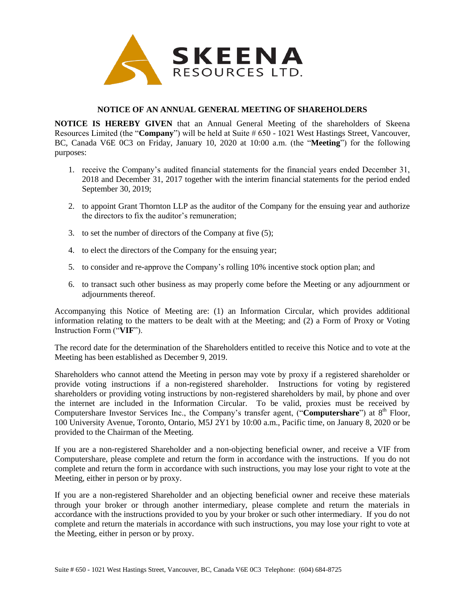

## **NOTICE OF AN ANNUAL GENERAL MEETING OF SHAREHOLDERS**

**NOTICE IS HEREBY GIVEN** that an Annual General Meeting of the shareholders of Skeena Resources Limited (the "**Company**") will be held at Suite # 650 - 1021 West Hastings Street, Vancouver, BC, Canada V6E 0C3 on Friday, January 10, 2020 at 10:00 a.m. (the "**Meeting**") for the following purposes:

- 1. receive the Company's audited financial statements for the financial years ended December 31, 2018 and December 31, 2017 together with the interim financial statements for the period ended September 30, 2019;
- 2. to appoint Grant Thornton LLP as the auditor of the Company for the ensuing year and authorize the directors to fix the auditor's remuneration;
- 3. to set the number of directors of the Company at five (5);
- 4. to elect the directors of the Company for the ensuing year;
- 5. to consider and re-approve the Company's rolling 10% incentive stock option plan; and
- 6. to transact such other business as may properly come before the Meeting or any adjournment or adjournments thereof.

Accompanying this Notice of Meeting are: (1) an Information Circular, which provides additional information relating to the matters to be dealt with at the Meeting; and (2) a Form of Proxy or Voting Instruction Form ("**VIF**").

The record date for the determination of the Shareholders entitled to receive this Notice and to vote at the Meeting has been established as December 9, 2019.

Shareholders who cannot attend the Meeting in person may vote by proxy if a registered shareholder or provide voting instructions if a non-registered shareholder. Instructions for voting by registered shareholders or providing voting instructions by non-registered shareholders by mail, by phone and over the internet are included in the Information Circular. To be valid, proxies must be received by Computershare Investor Services Inc., the Company's transfer agent, ("Computershare") at 8<sup>th</sup> Floor, 100 University Avenue, Toronto, Ontario, M5J 2Y1 by 10:00 a.m., Pacific time, on January 8, 2020 or be provided to the Chairman of the Meeting.

If you are a non-registered Shareholder and a non-objecting beneficial owner, and receive a VIF from Computershare, please complete and return the form in accordance with the instructions. If you do not complete and return the form in accordance with such instructions, you may lose your right to vote at the Meeting, either in person or by proxy.

If you are a non-registered Shareholder and an objecting beneficial owner and receive these materials through your broker or through another intermediary, please complete and return the materials in accordance with the instructions provided to you by your broker or such other intermediary. If you do not complete and return the materials in accordance with such instructions, you may lose your right to vote at the Meeting, either in person or by proxy.